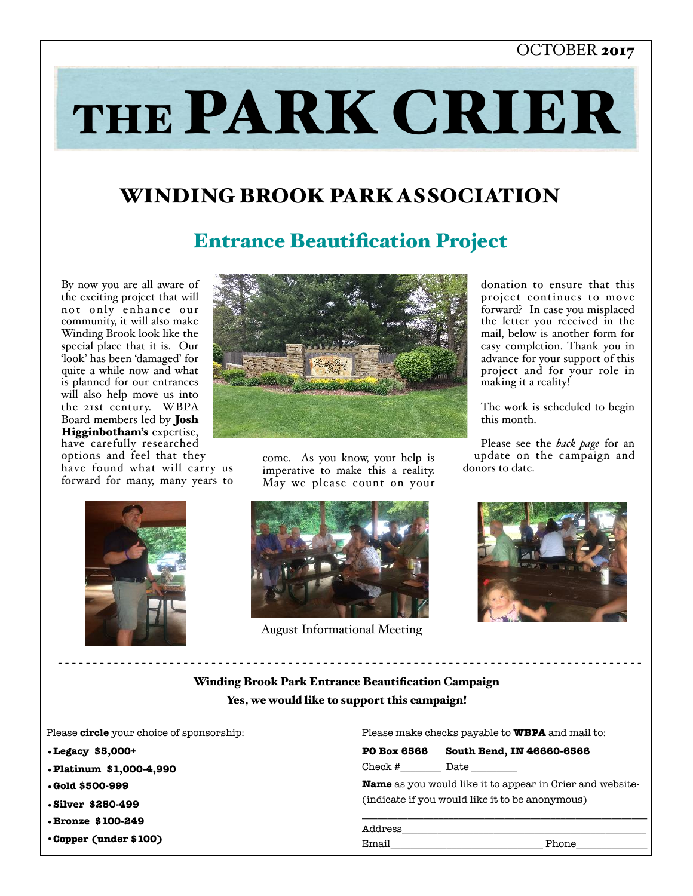#### OCTOBER 2017

# THE PARK CRIER

# WINDING BROOK PARK ASSOCIATION

# Entrance Beautification Project

By now you are all aware of the exciting project that will not only enhance our community, it will also make Winding Brook look like the special place that it is. Our 'look' has been 'damaged' for quite a while now and what is planned for our entrances will also help move us into the 21st century. WBPA Board members led by Josh Higginbotham's expertise, have carefully researched options and feel that they have found what will carry us forward for many, many years to



come. As you know, your help is imperative to make this a reality. May we please count on your





August Informational Meeting

donation to ensure that this project continues to move forward? In case you misplaced the letter you received in the mail, below is another form for easy completion. Thank you in advance for your support of this project and for your role in making it a reality!

The work is scheduled to begin this month.

Please see the *back page* for an update on the campaign and donors to date.



#### Winding Brook Park Entrance Beautification Campaign Yes, we would like to support this campaign!

- - - - - - - - - - - - - - - - - - - - - - - - - - - - - - - - - - - - - - - - - - - - - - - - - - - - - - - - - - - - - - - - - - - - - - - - - - - - - - - - - - - -

Please **circle** your choice of sponsorship:

- **•Legacy \$5,000+**
- **•Platinum \$1,000-4,990**
- **•Gold \$500-999**
- **•Silver \$250-499**
- **•Bronze \$100-249**
- •**Copper (under \$100)**

Please make checks payable to **WBPA** and mail to:

| <b>PO Box 6566</b>                                               | South Bend, IN 46660-6566 |
|------------------------------------------------------------------|---------------------------|
| $Check \#$                                                       |                           |
| <b>Name</b> as you would like it to appear in Crier and website- |                           |
| (indicate if you would like it to be anonymous)                  |                           |
|                                                                  |                           |
| Address                                                          |                           |

Email\_\_\_\_\_\_\_\_\_\_\_\_\_\_\_\_\_\_\_\_\_\_\_\_\_\_\_\_\_\_ Phone\_\_\_\_\_\_\_\_\_\_\_\_\_\_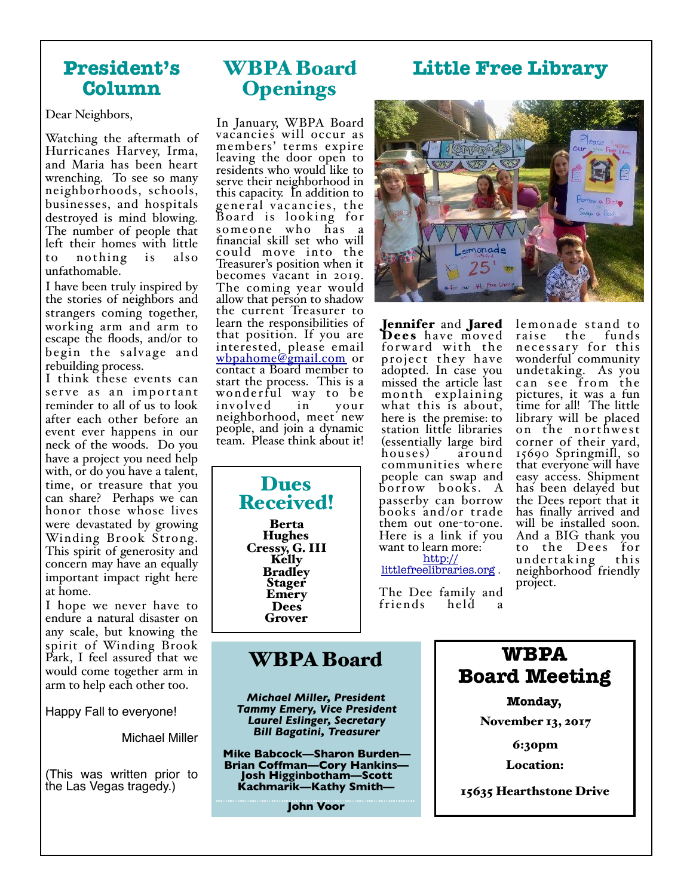### **President's Column**

Dear Neighbors,

Watching the aftermath of Hurricanes Harvey, Irma, and Maria has been heart wrenching. To see so many neighborhoods, schools, businesses, and hospitals destroyed is mind blowing. The number of people that left their homes with little to nothing is also unfathomable.

I have been truly inspired by the stories of neighbors and strangers coming together, working arm and arm to escape the floods, and/or to begin the salvage and rebuilding process.

I think these events can serve as an important reminder to all of us to look after each other before an event ever happens in our neck of the woods. Do you with, or do you have a talent, time, or treasure that you can share? Perhaps we can honor those whose lives were devastated by growing Winding Brook Strong. This spirit of generosity and concern may have an equally important impact right here at home.

I hope we never have to endure a natural disaster on any scale, but knowing the spirit of Winding Brook Park, I feel assured that we would come together arm in arm to help each other too.

Happy Fall to everyone!

Michael Miller

(This was written prior to the Las Vegas tragedy.)

# WBPA Board **Openings**

In January, WBPA Board vacancies will occur as members' terms expire leaving the door open to residents who would like to serve their neighborhood in this capacity. In addition to general vacancies, the Board is looking for someone who has a financial skill set who will could move into the Treasurer's position when it becomes vacant in 2019. The coming year would allow that person to shadow the current Treasurer to learn the responsibilities of that position. If you are interested, please email wbpahome@gmail.com or contact a Board member to start the process. This is a wonderful way to be involved in your neighborhood, meet new people, and join a dynamic team. Please think about it!

> Dues Received! Berta **Hughes** Cressy, G. III<br>Kelly **Bradley Stager** Emery Dees Grover



**Little Free Library**

Jennifer and Jared<br>Dees have moved for ward with the project they ha ve adopted. In case you missed the article last month explaining what this is about, here is the premise: to station little libraries (essentially large bird houses) communities where people can swap and borrow books. A passerby can borrow books and/or trade them out one-to-one. Here is a link if you want to learn more: http://

littlefreelibraries.org .

The Dee family and<br>friends held a f riends held a

lemonade stand to the funds necessary for this wonderful community undetaking. As you can see from the pictures, it was a fun time for all! The little library will be placed on the northwest corner of their yard, 15690 Springmill, so that everyone will have easy access. Shipment has been delayed but the Dees report that it has finally arrived and will be installed soon. And a BIG thank you to the Dees for undertaking neighborhood friendly project.

## WBPA Board

*Michael Miller, President Tammy Emery, Vice President Laurel Eslinger, Secretary Bill Bagatini, Treasurer*

**Mike Babcock—Sharon Burden— Brian Coffman—Cory Hankins— Josh Higginbotham—Scott Kachmarik—Kathy Smith—**

**John Voor**

**WBPA Board Meeting** 

**Monday,** 

November 13, 2017

6:30pm

Location:

15635 Hearthstone Drive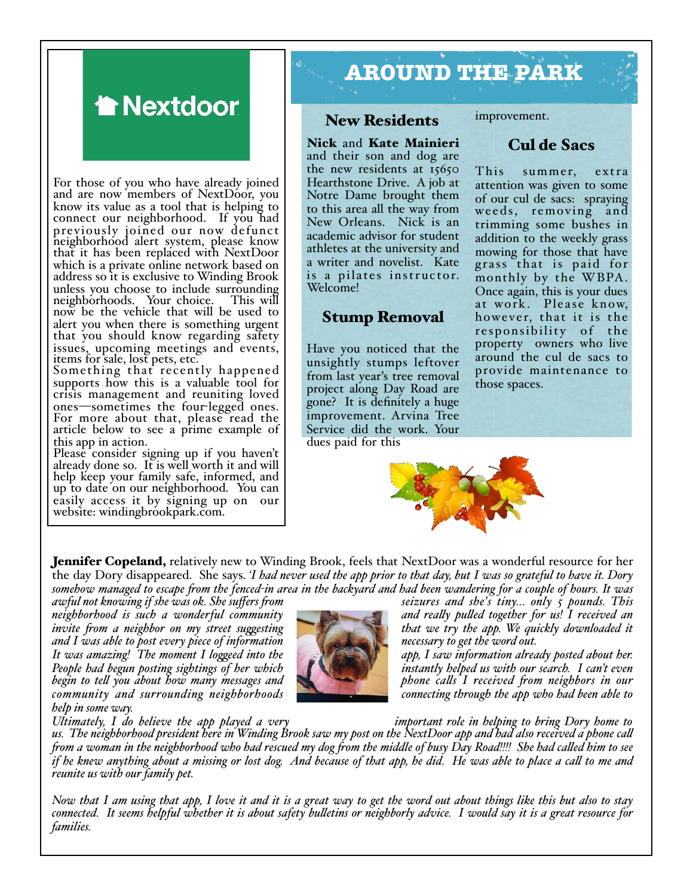# **A** Nextdoor

For those of you who have already joined and are now members of NextDoor, you know its value as a tool that is helping to connect our neighborhood. If you had previously joined our now defunct neighborhood alert system, please know that it has been replaced with NextDoor which is a private online network based on address so it is exclusive to Winding Brook unless you choose to include surrounding<br>neighborhoods. Your choice. This will neighborhoods. Your choice. now be the vehicle that will be used to alert you when there is something urgent that you should know regarding safety issues, upcoming meetings and events, items for sale, lost pets, etc.

Something that recently happened supports how this is a valuable tool for crisis management and reuniting loved<br>ones—sometimes the four-legged ones. For more about that, please read the article below to see a prime example of this app in action.

Please consider signing up if you haven't already done so. It is well worth it and will help keep your family safe, informed, and up to date on our neighborhood. You can easily access it by signing up on our website: windingbrookpark.com.

# **AROUND THE PARK**

#### New Residents

Nick and Kate Mainieri and their son and dog are the new residents at 15650 Hearthstone Drive. A job at Notre Dame brought them to this area all the way from New Orleans. Nick is an academic advisor for student athletes at the university and a writer and novelist. Kate is a pilates instructor. Welcome!

#### Stump Removal

Have you noticed that the unsightly stumps leftover from last year's tree removal project along Day Road are gone? It is definitely a huge improvement. Arvina Tree Service did the work. Your dues paid for this

improvement.

#### Cul de Sacs

This summer, extra attention was given to some of our cul de sacs: spraying weeds, removing and trimming some bushes in addition to the weekly grass mowing for those that have grass that is paid for monthly by the WBPA. Once again, this is your dues at work. Please know, howe ver, that it is the responsibility of the property owners who live around the cul de sacs to provide maintenance to those spaces.



**Jennifer Copeland,** relatively new to Winding Brook, feels that NextDoor was a wonderful resource for her the day Dory disappeared. She says. *'I had never used the app prior to that day, but I was so grateful to have it. Dory*  somehow managed to escape from the fenced-in area in the backyard and had been wandering for a couple of hours. It was<br>awful not knowing if she was ok. She suffers from seizures and she's

*neighborhood is such a wonderful community* and really pulled together for us! I received an invite from a neighbor on my street suggesting that we try the app. We quickly downloaded it *and I was able to post every piece of information*<br>It was amazing! The moment I loggeed into the People had begun posting sightings of her which instantly helped us with our search. I can't even begin to tell you about how many messages and *community and surrounding neighborhoods connecting through the app who had been able to help in some way.*



*ibat we try the app. We quickly downloaded it* necessary to get the word out.

app, I saw information already posted about her. *begin to tel you about how many messages and phone cals I received fom neighbors in our* 

*Ultimately, I do believe the app played a very important role in helping to bring Dory home to* 

*us. The neighborhood president here in Winding Brook saw my post on the NextDoor app and had also received a phone cal fom a woman in the neighborhood who had rescued my dog fom the middle of busy Day Road!!!! She had caled him to see if he knew anything about a missing or lost dog. And because of that app, he did. He was able to place a cal to me and reunite us with our family pet.*

*Now that I am using that app, I love it and it is a great way to get the word out about things like this but also to stay connected. It seems helpful whether it is about safety buletins or neighborly advice. I would say it is a great resource for families.*